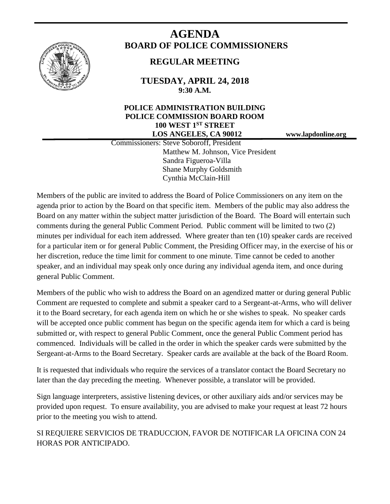

# **AGENDA BOARD OF POLICE COMMISSIONERS**

## **REGULAR MEETING**

**TUESDAY, APRIL 24, 2018 9:30 A.M.**

### **POLICE ADMINISTRATION BUILDING POLICE COMMISSION BOARD ROOM 100 WEST 1ST STREET LOS ANGELES, CA 90012 www.lapdonline.org**

 Commissioners: Steve Soboroff, President Matthew M. Johnson, Vice President Sandra Figueroa-Villa Shane Murphy Goldsmith Cynthia McClain-Hill

Members of the public are invited to address the Board of Police Commissioners on any item on the agenda prior to action by the Board on that specific item. Members of the public may also address the Board on any matter within the subject matter jurisdiction of the Board. The Board will entertain such comments during the general Public Comment Period. Public comment will be limited to two (2) minutes per individual for each item addressed. Where greater than ten (10) speaker cards are received for a particular item or for general Public Comment, the Presiding Officer may, in the exercise of his or her discretion, reduce the time limit for comment to one minute. Time cannot be ceded to another speaker, and an individual may speak only once during any individual agenda item, and once during general Public Comment.

Members of the public who wish to address the Board on an agendized matter or during general Public Comment are requested to complete and submit a speaker card to a Sergeant-at-Arms, who will deliver it to the Board secretary, for each agenda item on which he or she wishes to speak. No speaker cards will be accepted once public comment has begun on the specific agenda item for which a card is being submitted or, with respect to general Public Comment, once the general Public Comment period has commenced. Individuals will be called in the order in which the speaker cards were submitted by the Sergeant-at-Arms to the Board Secretary. Speaker cards are available at the back of the Board Room.

It is requested that individuals who require the services of a translator contact the Board Secretary no later than the day preceding the meeting. Whenever possible, a translator will be provided.

Sign language interpreters, assistive listening devices, or other auxiliary aids and/or services may be provided upon request. To ensure availability, you are advised to make your request at least 72 hours prior to the meeting you wish to attend.

SI REQUIERE SERVICIOS DE TRADUCCION, FAVOR DE NOTIFICAR LA OFICINA CON 24 HORAS POR ANTICIPADO.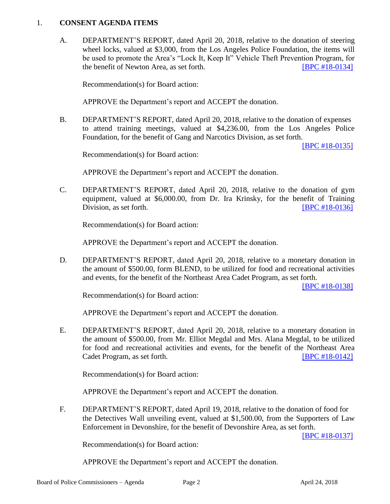#### 1. **CONSENT AGENDA ITEMS**

A. DEPARTMENT'S REPORT, dated April 20, 2018, relative to the donation of steering wheel locks, valued at \$3,000, from the Los Angeles Police Foundation, the items will be used to promote the Area's "Lock It, Keep It" Vehicle Theft Prevention Program, for the benefit of Newton Area, as set forth. **[\[BPC #18-0134\]](http://www.lapdpolicecom.lacity.org/042418/BPC_18-0134.pdf)** 

Recommendation(s) for Board action:

APPROVE the Department's report and ACCEPT the donation.

B. DEPARTMENT'S REPORT, dated April 20, 2018, relative to the donation of expenses to attend training meetings, valued at \$4,236.00, from the Los Angeles Police Foundation, for the benefit of Gang and Narcotics Division, as set forth.

[\[BPC #18-0135\]](http://www.lapdpolicecom.lacity.org/042418/BPC_18-0135.pdf)

Recommendation(s) for Board action:

APPROVE the Department's report and ACCEPT the donation.

C. DEPARTMENT'S REPORT, dated April 20, 2018, relative to the donation of gym equipment, valued at \$6,000.00, from Dr. Ira Krinsky, for the benefit of Training Division, as set forth. **IDEN EXECUTE:** [\[BPC #18-0136\]](http://www.lapdpolicecom.lacity.org/042418/BPC_18-0136.pdf)

Recommendation(s) for Board action:

APPROVE the Department's report and ACCEPT the donation.

D. DEPARTMENT'S REPORT, dated April 20, 2018, relative to a monetary donation in the amount of \$500.00, form BLEND, to be utilized for food and recreational activities and events, for the benefit of the Northeast Area Cadet Program, as set forth.

[\[BPC #18-0138\]](http://www.lapdpolicecom.lacity.org/042418/BPC_18-0138.pdf)

Recommendation(s) for Board action:

APPROVE the Department's report and ACCEPT the donation.

E. DEPARTMENT'S REPORT, dated April 20, 2018, relative to a monetary donation in the amount of \$500.00, from Mr. Elliot Megdal and Mrs. Alana Megdal, to be utilized for food and recreational activities and events, for the benefit of the Northeast Area Cadet Program, as set forth. **[\[BPC #18-0142\]](http://www.lapdpolicecom.lacity.org/042418/BPC_18-0142.pdf)** 

Recommendation(s) for Board action:

APPROVE the Department's report and ACCEPT the donation.

F. DEPARTMENT'S REPORT, dated April 19, 2018, relative to the donation of food for the Detectives Wall unveiling event, valued at \$1,500.00, from the Supporters of Law Enforcement in Devonshire, for the benefit of Devonshire Area, as set forth.

[\[BPC #18-0137\]](http://www.lapdpolicecom.lacity.org/042418/BPC_18-0137.pdf)

Recommendation(s) for Board action:

APPROVE the Department's report and ACCEPT the donation.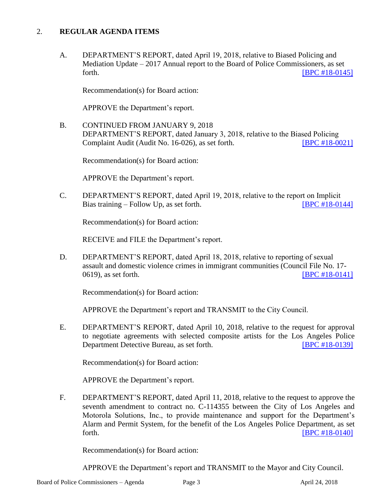#### 2. **REGULAR AGENDA ITEMS**

A. DEPARTMENT'S REPORT, dated April 19, 2018, relative to Biased Policing and Mediation Update – 2017 Annual report to the Board of Police Commissioners, as set forth. **[\[BPC #18-0145\]](http://www.lapdpolicecom.lacity.org/042418/BPC_18-0145.pdf)** 

Recommendation(s) for Board action:

APPROVE the Department's report.

B. CONTINUED FROM JANUARY 9, 2018 DEPARTMENT'S REPORT, dated January 3, 2018, relative to the Biased Policing Complaint Audit (Audit No. 16-026), as set forth. [\[BPC #18-0021\]](http://www.lapdpolicecom.lacity.org/042418/BPC_18-0021.pdf)

Recommendation(s) for Board action:

APPROVE the Department's report.

C. DEPARTMENT'S REPORT, dated April 19, 2018, relative to the report on Implicit Bias training – Follow Up, as set forth. [\[BPC #18-0144\]](http://www.lapdpolicecom.lacity.org/042418/BPC_18-0144.pdf)

Recommendation(s) for Board action:

RECEIVE and FILE the Department's report.

D. DEPARTMENT'S REPORT, dated April 18, 2018, relative to reporting of sexual assault and domestic violence crimes in immigrant communities (Council File No. 17- 0619), as set forth. **IDPC #18-0141** 

Recommendation(s) for Board action:

APPROVE the Department's report and TRANSMIT to the City Council.

E. DEPARTMENT'S REPORT, dated April 10, 2018, relative to the request for approval to negotiate agreements with selected composite artists for the Los Angeles Police Department Detective Bureau, as set forth. [\[BPC #18-0139\]](http://www.lapdpolicecom.lacity.org/042418/BPC_18-0139.pdf)

Recommendation(s) for Board action:

APPROVE the Department's report.

F. DEPARTMENT'S REPORT, dated April 11, 2018, relative to the request to approve the seventh amendment to contract no. C-114355 between the City of Los Angeles and Motorola Solutions, Inc., to provide maintenance and support for the Department's Alarm and Permit System, for the benefit of the Los Angeles Police Department, as set forth. **IBPC #18-0140** 

Recommendation(s) for Board action:

APPROVE the Department's report and TRANSMIT to the Mayor and City Council.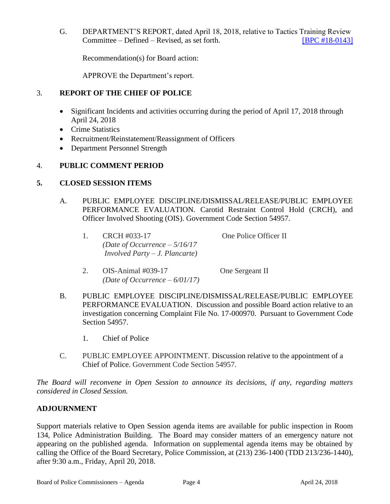G. DEPARTMENT'S REPORT, dated April 18, 2018, relative to Tactics Training Review Committee – Defined – Revised, as set forth. [\[BPC #18-0143\]](http://www.lapdpolicecom.lacity.org/042418/BPC_18-0143.pdf)

Recommendation(s) for Board action:

APPROVE the Department's report.

#### 3. **REPORT OF THE CHIEF OF POLICE**

- Significant Incidents and activities occurring during the period of April 17, 2018 through April 24, 2018
- Crime Statistics
- Recruitment/Reinstatement/Reassignment of Officers
- Department Personnel Strength

#### 4. **PUBLIC COMMENT PERIOD**

#### **5. CLOSED SESSION ITEMS**

- A. PUBLIC EMPLOYEE DISCIPLINE/DISMISSAL/RELEASE/PUBLIC EMPLOYEE PERFORMANCE EVALUATION. Carotid Restraint Control Hold (CRCH), and Officer Involved Shooting (OIS). Government Code Section 54957.
	- 1. CRCH #033-17 One Police Officer II *(Date of Occurrence – 5/16/17 Involved Party – J. Plancarte)*

2. OIS-Animal #039-17 One Sergeant II *(Date of Occurrence – 6/01/17)*

- B. PUBLIC EMPLOYEE DISCIPLINE/DISMISSAL/RELEASE/PUBLIC EMPLOYEE PERFORMANCE EVALUATION. Discussion and possible Board action relative to an investigation concerning Complaint File No. 17-000970. Pursuant to Government Code Section 54957.
	- 1. Chief of Police
- C. PUBLIC EMPLOYEE APPOINTMENT. Discussion relative to the appointment of a Chief of Police. Government Code Section 54957.

*The Board will reconvene in Open Session to announce its decisions, if any, regarding matters considered in Closed Session.*

#### **ADJOURNMENT**

Support materials relative to Open Session agenda items are available for public inspection in Room 134, Police Administration Building. The Board may consider matters of an emergency nature not appearing on the published agenda. Information on supplemental agenda items may be obtained by calling the Office of the Board Secretary, Police Commission, at (213) 236-1400 (TDD 213/236-1440), after 9:30 a.m., Friday, April 20, 2018.